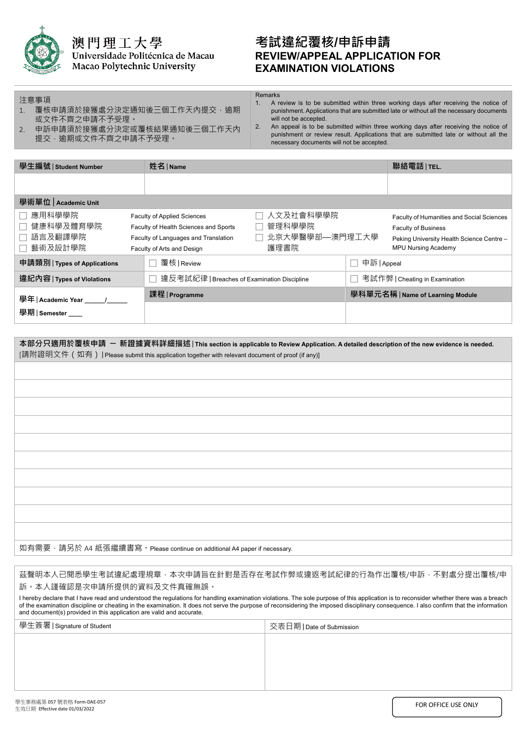

注意事項

 $\overline{a}$ 

澳門理工大學 Universidade Politécnica de Macau Macao Polytechnic University

## **考試違紀覆核/申訴申請 REVIEW/APPEAL APPLICATION FOR EXAMINATION VIOLATIONS**

- 1. 覆核申請須於接獲處分決定通知後三個工作天內提交,逾期 Remarks<br>1. A r A review is to be submitted within three working days after receiving the notice of punishment. Applications that are submitted late or without all the necessary documents will not be accepted.
- 2. 申訴申請須於接獲處分決定或覆核結果通知後三個工作天內 提交,逾期或文件不齊之申請不予受理。

或文件不齊之申請不予受理。

2. An appeal is to be submitted within three working days after receiving the notice of punishment or review result. Applications that are submitted late or without all the necessary documents will not be accepted.

| 學生編號   Student Number                     |  | 姓名   Name                                                                                                                                                                                          |                                | 聯絡電話 TEL.                                                                                                                                          |  |  |
|-------------------------------------------|--|----------------------------------------------------------------------------------------------------------------------------------------------------------------------------------------------------|--------------------------------|----------------------------------------------------------------------------------------------------------------------------------------------------|--|--|
|                                           |  |                                                                                                                                                                                                    |                                |                                                                                                                                                    |  |  |
| 學術單位   Academic Unit                      |  |                                                                                                                                                                                                    |                                |                                                                                                                                                    |  |  |
| 應用科學學院<br>健康科學及體育學院<br>語言及翻譯學院<br>藝術及設計學院 |  | 人文及社會科學學院<br><b>Faculty of Applied Sciences</b><br>管理科學學院<br>Faculty of Health Sciences and Sports<br>北京大學醫學部—澳門理工大學<br>Faculty of Languages and Translation<br>護理書院<br>Faculty of Arts and Design |                                | Faculty of Humanities and Social Sciences<br><b>Faculty of Business</b><br>Peking University Health Science Centre -<br><b>MPU Nursing Academy</b> |  |  |
| 申請類別   Types of Applications              |  | 覆核   Review                                                                                                                                                                                        | 申訴   Appeal                    |                                                                                                                                                    |  |  |
| 違紀內容   Types of Violations                |  | 違反考試紀律   Breaches of Examination Discipline                                                                                                                                                        | 考試作弊   Cheating in Examination |                                                                                                                                                    |  |  |
| 學年   Academic Year _____/__               |  | 課程   Programme                                                                                                                                                                                     |                                | 學科單元名稱   Name of Learning Module                                                                                                                   |  |  |
| 學期   Semester ___                         |  |                                                                                                                                                                                                    |                                |                                                                                                                                                    |  |  |

如有需要,請另於 A4 紙張繼續書寫。Please continue on additional A4 paper if necessary.

茲聲明本人已閱悉學生考試違紀處理規章,本次申請旨在針對是否存在考試作弊或違返考試紀律的行為作出覆核/申訴,不對處分提出覆核/申 訴。本人謹確認是次申請所提供的資料及文件真確無誤。

I hereby declare that I have read and understood the regulations for handling examination violations. The sole purpose of this application is to reconsider whether there was a breach of the examination discipline or cheating in the examination. It does not serve the purpose of reconsidering the imposed disciplinary consequence. I also confirm that the information and document(s) provided in this application are valid and accurate.

| 交表日期   Date of Submission |
|---------------------------|
|                           |
|                           |
|                           |
|                           |
|                           |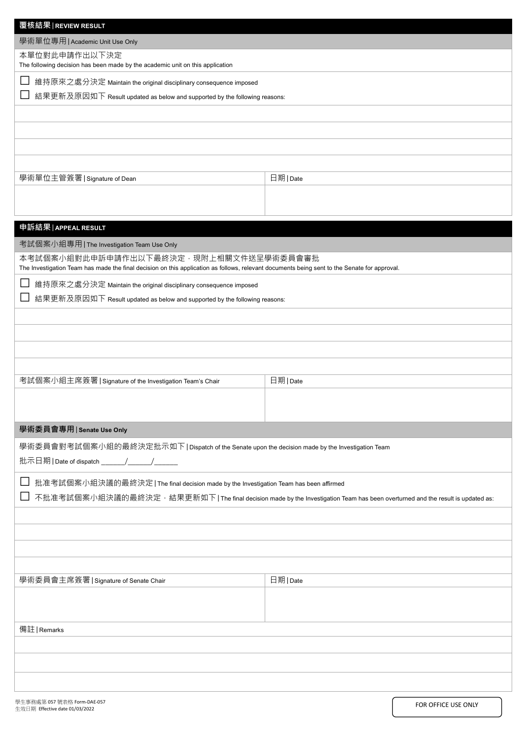| 覆核結果   REVIEW RESULT                                                                                                                                                                   |                                                                                                                                 |
|----------------------------------------------------------------------------------------------------------------------------------------------------------------------------------------|---------------------------------------------------------------------------------------------------------------------------------|
| 學術單位專用   Academic Unit Use Only                                                                                                                                                        |                                                                                                                                 |
| 本單位對此申請作出以下決定<br>The following decision has been made by the academic unit on this application                                                                                         |                                                                                                                                 |
|                                                                                                                                                                                        |                                                                                                                                 |
| 維持原來之處分決定 Maintain the original disciplinary consequence imposed<br>結果更新及原因如下 Result updated as below and supported by the following reasons:                                          |                                                                                                                                 |
|                                                                                                                                                                                        |                                                                                                                                 |
|                                                                                                                                                                                        |                                                                                                                                 |
|                                                                                                                                                                                        |                                                                                                                                 |
|                                                                                                                                                                                        |                                                                                                                                 |
|                                                                                                                                                                                        |                                                                                                                                 |
| 學術單位主管簽署   Signature of Dean                                                                                                                                                           | 日期   Date                                                                                                                       |
|                                                                                                                                                                                        |                                                                                                                                 |
|                                                                                                                                                                                        |                                                                                                                                 |
| 申訴結果 APPEAL RESULT                                                                                                                                                                     |                                                                                                                                 |
| 考試個案小組專用   The Investigation Team Use Only                                                                                                                                             |                                                                                                                                 |
| 本考試個案小組對此申訴申請作出以下最終決定・現附上相關文件送呈學術委員會審批<br>The Investigation Team has made the final decision on this application as follows, relevant documents being sent to the Senate for approval. |                                                                                                                                 |
| 維持原來之處分決定 Maintain the original disciplinary consequence imposed                                                                                                                       |                                                                                                                                 |
| 結果更新及原因如下 Result updated as below and supported by the following reasons:                                                                                                              |                                                                                                                                 |
|                                                                                                                                                                                        |                                                                                                                                 |
|                                                                                                                                                                                        |                                                                                                                                 |
|                                                                                                                                                                                        |                                                                                                                                 |
|                                                                                                                                                                                        |                                                                                                                                 |
| 考試個案小組主席簽署   Signature of the Investigation Team's Chair                                                                                                                               |                                                                                                                                 |
|                                                                                                                                                                                        | 日期   Date                                                                                                                       |
|                                                                                                                                                                                        |                                                                                                                                 |
| 學術委員會專用   Senate Use Only                                                                                                                                                              |                                                                                                                                 |
| 學術委員會對考試個案小組的最終決定批示如下   Dispatch of the Senate upon the decision made by the Investigation Team                                                                                        |                                                                                                                                 |
|                                                                                                                                                                                        |                                                                                                                                 |
|                                                                                                                                                                                        |                                                                                                                                 |
| 批准考試個案小組決議的最終決定   The final decision made by the Investigation Team has been affirmed                                                                                                  |                                                                                                                                 |
|                                                                                                                                                                                        | 不批准考試個案小組決議的最終決定 · 結果更新如下   The final decision made by the Investigation Team has been overturned and the result is updated as: |
|                                                                                                                                                                                        |                                                                                                                                 |
|                                                                                                                                                                                        |                                                                                                                                 |
|                                                                                                                                                                                        |                                                                                                                                 |
|                                                                                                                                                                                        |                                                                                                                                 |
| 學術委員會主席簽署   Signature of Senate Chair                                                                                                                                                  | 日期 Date                                                                                                                         |
|                                                                                                                                                                                        |                                                                                                                                 |
|                                                                                                                                                                                        |                                                                                                                                 |
| 備註   Remarks                                                                                                                                                                           |                                                                                                                                 |
|                                                                                                                                                                                        |                                                                                                                                 |
|                                                                                                                                                                                        |                                                                                                                                 |
|                                                                                                                                                                                        |                                                                                                                                 |
|                                                                                                                                                                                        |                                                                                                                                 |